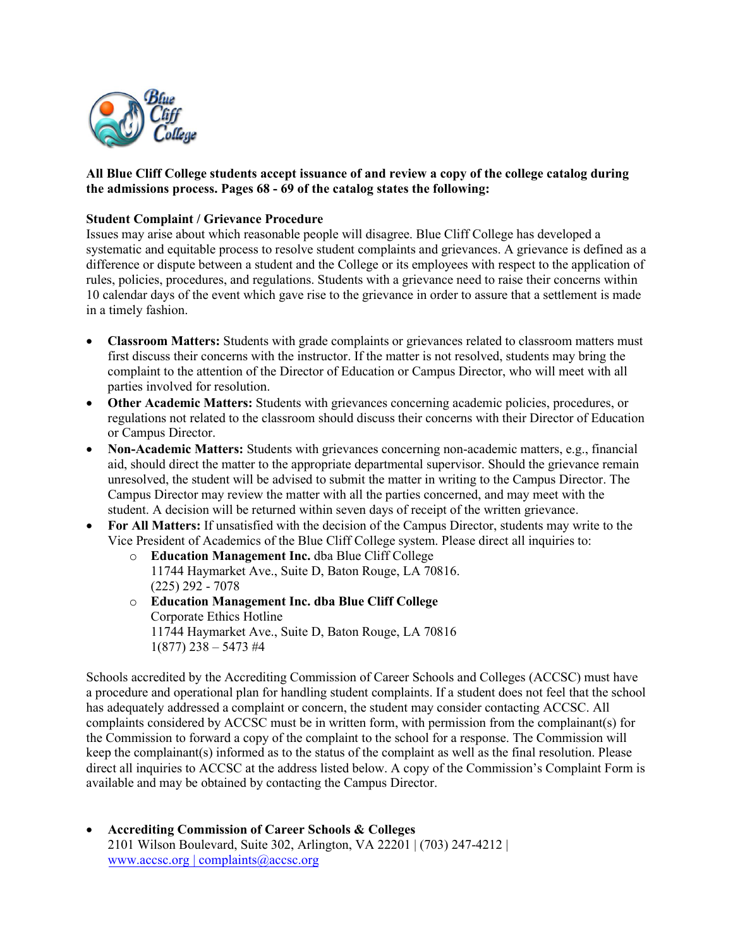

## **All Blue Cliff College students accept issuance of and review a copy of the college catalog during the admissions process. Pages 68 - 69 of the catalog states the following:**

## **Student Complaint / Grievance Procedure**

Issues may arise about which reasonable people will disagree. Blue Cliff College has developed a systematic and equitable process to resolve student complaints and grievances. A grievance is defined as a difference or dispute between a student and the College or its employees with respect to the application of rules, policies, procedures, and regulations. Students with a grievance need to raise their concerns within 10 calendar days of the event which gave rise to the grievance in order to assure that a settlement is made in a timely fashion.

- **Classroom Matters:** Students with grade complaints or grievances related to classroom matters must first discuss their concerns with the instructor. If the matter is not resolved, students may bring the complaint to the attention of the Director of Education or Campus Director, who will meet with all parties involved for resolution.
- **Other Academic Matters:** Students with grievances concerning academic policies, procedures, or regulations not related to the classroom should discuss their concerns with their Director of Education or Campus Director.
- **Non-Academic Matters:** Students with grievances concerning non-academic matters, e.g., financial aid, should direct the matter to the appropriate departmental supervisor. Should the grievance remain unresolved, the student will be advised to submit the matter in writing to the Campus Director. The Campus Director may review the matter with all the parties concerned, and may meet with the student. A decision will be returned within seven days of receipt of the written grievance.
- **For All Matters:** If unsatisfied with the decision of the Campus Director, students may write to the Vice President of Academics of the Blue Cliff College system. Please direct all inquiries to:
	- o **Education Management Inc.** dba Blue Cliff College 11744 Haymarket Ave., Suite D, Baton Rouge, LA 70816. (225) 292 - 7078
	- o **Education Management Inc. dba Blue Cliff College** Corporate Ethics Hotline 11744 Haymarket Ave., Suite D, Baton Rouge, LA 70816  $1(877)$  238 – 5473 #4

Schools accredited by the Accrediting Commission of Career Schools and Colleges (ACCSC) must have a procedure and operational plan for handling student complaints. If a student does not feel that the school has adequately addressed a complaint or concern, the student may consider contacting ACCSC. All complaints considered by ACCSC must be in written form, with permission from the complainant(s) for the Commission to forward a copy of the complaint to the school for a response. The Commission will keep the complainant(s) informed as to the status of the complaint as well as the final resolution. Please direct all inquiries to ACCSC at the address listed below. A copy of the Commission's Complaint Form is available and may be obtained by contacting the Campus Director.

• **Accrediting Commission of Career Schools & Colleges** 2101 Wilson Boulevard, Suite 302, Arlington, VA 22201 | (703) 247-4212 | www.accsc.org [| complaints@accsc.org](http://www.accsc.org/)